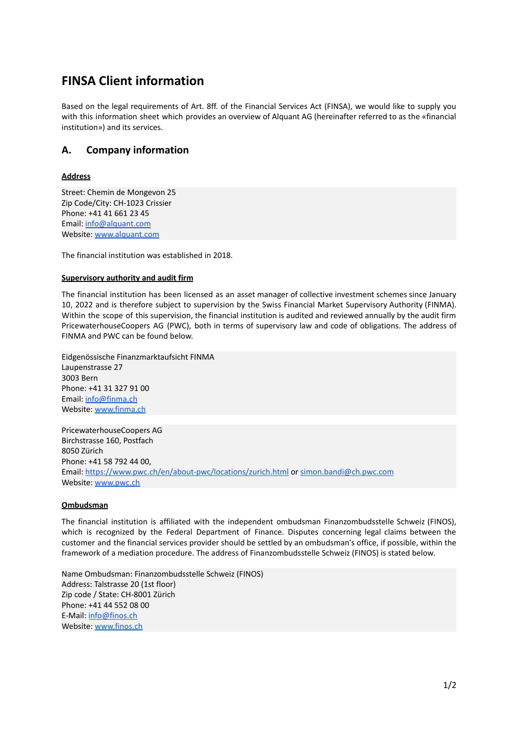# **FINSA Client information**

Based on the legal requirements of Art. 8ff. of the Financial Services Act (FINSA), we would like to supply you with this information sheet which provides an overview of Alquant AG (hereinafter referred to as the «financial institution») and its services.

## **A. Company information**

### **Address**

Street: Chemin de Mongevon 25 Zip Code/City: CH-1023 Crissier Phone: +41 41 661 23 45 Email: [info@alquant.com](mailto:info@alquant.com) Website: [www.alquant.com](http://www.alquant.com)

The financial institution was established in 2018.

### **Supervisory authority and audit firm**

The financial institution has been licensed as an asset manager of collective investment schemes since January 10, 2022 and is therefore subject to supervision by the Swiss Financial Market Supervisory Authority (FINMA). Within the scope of this supervision, the financial institution is audited and reviewed annually by the audit firm PricewaterhouseCoopers AG (PWC), both in terms of supervisory law and code of obligations. The address of FINMA and PWC can be found below.

Eidgenössische Finanzmarktaufsicht FINMA Laupenstrasse 27 3003 Bern Phone: +41 31 327 91 00 Email: [info@finma.ch](mailto:info@finma.ch) Website: [www.finma.ch](http://www.finma.ch)

PricewaterhouseCoopers AG Birchstrasse 160, Postfach 8050 Zürich Phone: +41 58 792 44 00, Email: <https://www.pwc.ch/en/about-pwc/locations/zurich.html> or [simon.bandi@ch.pwc.com](mailto:simon.bandi@ch.pwc.com) Website: [www.pwc.ch](http://www.pwc.ch)

#### **Ombudsman**

The financial institution is affiliated with the independent ombudsman Finanzombudsstelle Schweiz (FINOS), which is recognized by the Federal Department of Finance. Disputes concerning legal claims between the customer and the financial services provider should be settled by an ombudsman's office, if possible, within the framework of a mediation procedure. The address of Finanzombudsstelle Schweiz (FINOS) is stated below.

Name Ombudsman: Finanzombudsstelle Schweiz (FINOS) Address: Talstrasse 20 (1st floor) Zip code / State: CH-8001 Zürich Phone: +41 44 552 08 00 E-Mail: [info@finos.ch](mailto:info@finos.ch) Website: [www.finos.ch](http://www.finos.ch)